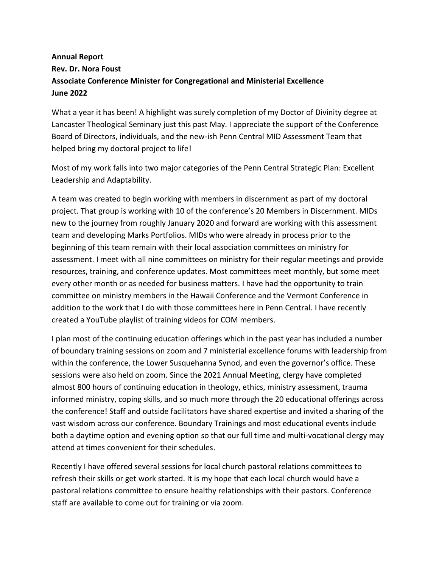## **Annual Report Rev. Dr. Nora Foust Associate Conference Minister for Congregational and Ministerial Excellence June 2022**

What a year it has been! A highlight was surely completion of my Doctor of Divinity degree at Lancaster Theological Seminary just this past May. I appreciate the support of the Conference Board of Directors, individuals, and the new-ish Penn Central MID Assessment Team that helped bring my doctoral project to life!

Most of my work falls into two major categories of the Penn Central Strategic Plan: Excellent Leadership and Adaptability.

A team was created to begin working with members in discernment as part of my doctoral project. That group is working with 10 of the conference's 20 Members in Discernment. MIDs new to the journey from roughly January 2020 and forward are working with this assessment team and developing Marks Portfolios. MIDs who were already in process prior to the beginning of this team remain with their local association committees on ministry for assessment. I meet with all nine committees on ministry for their regular meetings and provide resources, training, and conference updates. Most committees meet monthly, but some meet every other month or as needed for business matters. I have had the opportunity to train committee on ministry members in the Hawaii Conference and the Vermont Conference in addition to the work that I do with those committees here in Penn Central. I have recently created a YouTube playlist of training videos for COM members.

I plan most of the continuing education offerings which in the past year has included a number of boundary training sessions on zoom and 7 ministerial excellence forums with leadership from within the conference, the Lower Susquehanna Synod, and even the governor's office. These sessions were also held on zoom. Since the 2021 Annual Meeting, clergy have completed almost 800 hours of continuing education in theology, ethics, ministry assessment, trauma informed ministry, coping skills, and so much more through the 20 educational offerings across the conference! Staff and outside facilitators have shared expertise and invited a sharing of the vast wisdom across our conference. Boundary Trainings and most educational events include both a daytime option and evening option so that our full time and multi-vocational clergy may attend at times convenient for their schedules.

Recently I have offered several sessions for local church pastoral relations committees to refresh their skills or get work started. It is my hope that each local church would have a pastoral relations committee to ensure healthy relationships with their pastors. Conference staff are available to come out for training or via zoom.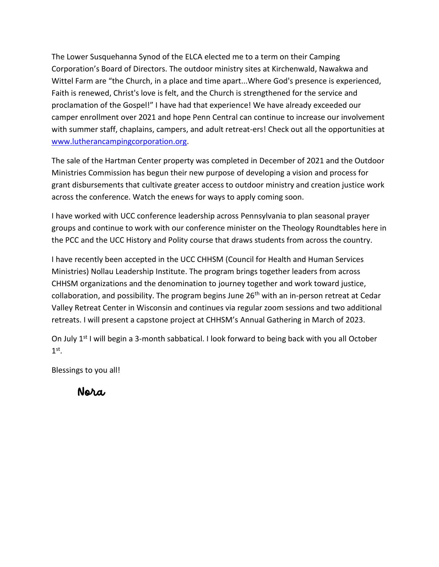The Lower Susquehanna Synod of the ELCA elected me to a term on their Camping Corporation's Board of Directors. The outdoor ministry sites at Kirchenwald, Nawakwa and Wittel Farm are "the Church, in a place and time apart...Where God's presence is experienced, Faith is renewed, Christ's love is felt, and the Church is strengthened for the service and proclamation of the Gospel!" I have had that experience! We have already exceeded our camper enrollment over 2021 and hope Penn Central can continue to increase our involvement with summer staff, chaplains, campers, and adult retreat-ers! Check out all the opportunities at [www.lutherancampingcorporation.org.](http://www.lutherancampingcorporation.org/)

The sale of the Hartman Center property was completed in December of 2021 and the Outdoor Ministries Commission has begun their new purpose of developing a vision and process for grant disbursements that cultivate greater access to outdoor ministry and creation justice work across the conference. Watch the enews for ways to apply coming soon.

I have worked with UCC conference leadership across Pennsylvania to plan seasonal prayer groups and continue to work with our conference minister on the Theology Roundtables here in the PCC and the UCC History and Polity course that draws students from across the country.

I have recently been accepted in the UCC CHHSM (Council for Health and Human Services Ministries) Nollau Leadership Institute. The program brings together leaders from across CHHSM organizations and the denomination to journey together and work toward justice, collaboration, and possibility. The program begins June 26<sup>th</sup> with an in-person retreat at Cedar Valley Retreat Center in Wisconsin and continues via regular zoom sessions and two additional retreats. I will present a capstone project at CHHSM's Annual Gathering in March of 2023.

On July 1<sup>st</sup> I will begin a 3-month sabbatical. I look forward to being back with you all October  $1^\text{st}$ .

Blessings to you all!

Nora